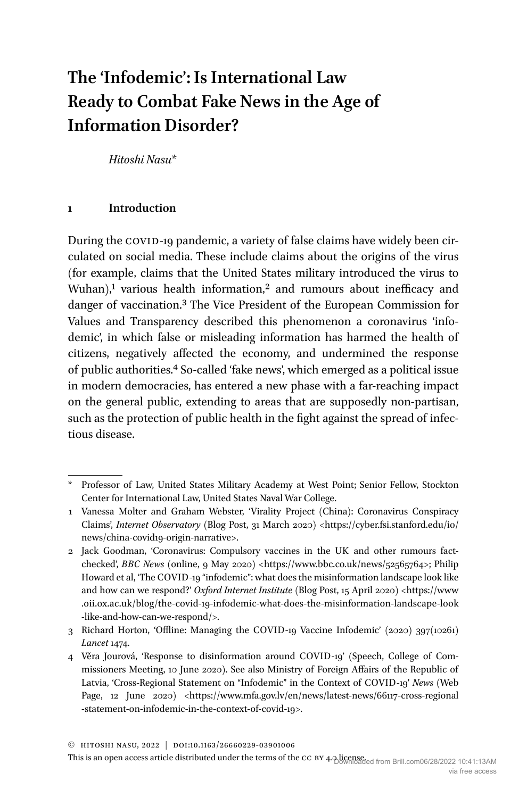# **The 'Infodemic': Is International Law Ready to Combat Fake News in the Age of Information Disorder?**

*Hitoshi Nasu*\*

## **1 Introduction**

During the COVID-19 pandemic, a variety of false claims have widely been circulated on social media. These include claims about the origins of the virus (for example, claims that the United States military introduced the virus to Wuhan),<sup>1</sup> various health information,<sup>2</sup> and rumours about inefficacy and danger of vaccination.3 The Vice President of the European Commission for Values and Transparency described this phenomenon a coronavirus 'infodemic', in which false or misleading information has harmed the health of citizens, negatively affected the economy, and undermined the response of public authorities.4 So-called 'fake news', which emerged as a political issue in modern democracies, has entered a new phase with a far-reaching impact on the general public, extending to areas that are supposedly non-partisan, such as the protection of public health in the fight against the spread of infectious disease.

This is an open access article distributed under the terms of the CC BY 4.0 licensed from Brill.com06/28/2022 10:41:13AM

<sup>\*</sup> Professor of Law, United States Military Academy at West Point; Senior Fellow, Stockton Center for International Law, United States Naval War College.

<sup>1</sup> Vanessa Molter and Graham Webster, 'Virality Project (China): Coronavirus Conspiracy Claims', *Internet Observatory* (Blog Post, 31 March 2020) <[https://cyber.fsi.stanford.edu/io/](https://cyber.fsi.stanford.edu/io/news/china-covid19-origin-narrative) [news/china-covid19-origin-narrative>](https://cyber.fsi.stanford.edu/io/news/china-covid19-origin-narrative).

<sup>2</sup> Jack Goodman, 'Coronavirus: Compulsory vaccines in the UK and other rumours factchecked', *BBC News* (online, 9 May 2020) [<https://www.bbc.co.uk/news/52565764](https://www.bbc.co.uk/news/52565764)>; Philip Howard et al, 'The COVID-19 "infodemic": what does the misinformation landscape look like and how can we respond?' *Oxford Internet Institute* (Blog Post, 15 April 2020) <https://www [.oii.ox.ac.uk/blog/the-covid-19-infodemic-what-does-the-misinformation-landscape-look](https://www.oii.ox.ac.uk/blog/the-covid-19-infodemic-what-does-the-misinformation-landscape-look-like-and-how-can-we-respond/) [-like-and-how-can-we-respond/>](https://www.oii.ox.ac.uk/blog/the-covid-19-infodemic-what-does-the-misinformation-landscape-look-like-and-how-can-we-respond/).

<sup>3</sup> Richard Horton, 'Offline: Managing the COVID-19 Vaccine Infodemic' (2020) 397(10261) *Lancet* 1474.

<sup>4</sup> Věra Jourová, 'Response to disinformation around COVID-19' (Speech, College of Commissioners Meeting, 10 June 2020). See also Ministry of Foreign Affairs of the Republic of Latvia, 'Cross-Regional Statement on "Infodemic" in the Context of COVID-19' *News* (Web Page, 12 June 2020) <https://www.mfa.gov.lv/en/news/latest-news/66117-cross-regional [-statement-on-infodemic-](https://www.mfa.gov.lv/en/news/latest-news/66117-cross-regional-statement-on-infodemic-in-the-context-of-covid-19)in-the-context-of-covid-19>.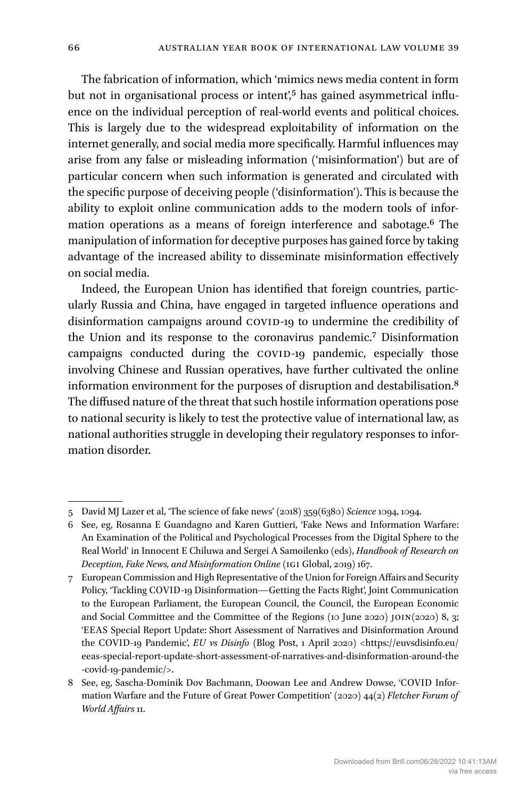The fabrication of information, which 'mimics news media content in form but not in organisational process or intent',<sup>5</sup> has gained asymmetrical influence on the individual perception of real-world events and political choices. This is largely due to the widespread exploitability of information on the internet generally, and social media more specifically. Harmful influences may arise from any false or misleading information ('misinformation') but are of particular concern when such information is generated and circulated with the specific purpose of deceiving people ('disinformation'). This is because the ability to exploit online communication adds to the modern tools of information operations as a means of foreign interference and sabotage.6 The manipulation of information for deceptive purposes has gained force by taking advantage of the increased ability to disseminate misinformation effectively on social media.

Indeed, the European Union has identified that foreign countries, particularly Russia and China, have engaged in targeted influence operations and disinformation campaigns around COVID-19 to undermine the credibility of the Union and its response to the coronavirus pandemic.7 Disinformation campaigns conducted during the COVID-19 pandemic, especially those involving Chinese and Russian operatives, have further cultivated the online information environment for the purposes of disruption and destabilisation.8 The diffused nature of the threat that such hostile information operations pose to national security is likely to test the protective value of international law, as national authorities struggle in developing their regulatory responses to information disorder.

<sup>5</sup> David MJ Lazer et al, 'The science of fake news' (2018) 359(6380) *Science* 1094, 1094.

<sup>6</sup> See, eg, Rosanna E Guandagno and Karen Guttieri, 'Fake News and Information Warfare: An Examination of the Political and Psychological Processes from the Digital Sphere to the Real World' in Innocent E Chiluwa and Sergei A Samoilenko (eds), *Handbook of Research on Deception, Fake News, and Misinformation Online* (IGI Global, 2019) 167.

<sup>7</sup> European Commission and High Representative of the Union for Foreign Affairs and Security Policy, 'Tackling COVID-19 Disinformation—Getting the Facts Right', Joint Communication to the European Parliament, the European Council, the Council, the European Economic and Social Committee and the Committee of the Regions (10 June 2020) JOIN(2020) 8, 3; 'EEAS Special Report Update: Short Assessment of Narratives and Disinformation Around the COVID-19 Pandemic', *EU vs Disinfo* (Blog Post, 1 April 2020) <[https://euvsdisinfo.eu/](https://euvsdisinfo.eu/eeas-special-report-update-short-assessment-of-narratives-and-disinformation-around-the-covid-19-pandemic/) [eeas-special-report-update-short-assessment-of-narratives-and-disinformation-around-the](https://euvsdisinfo.eu/eeas-special-report-update-short-assessment-of-narratives-and-disinformation-around-the-covid-19-pandemic/) [-covid-19-pandemic/>](https://euvsdisinfo.eu/eeas-special-report-update-short-assessment-of-narratives-and-disinformation-around-the-covid-19-pandemic/).

<sup>8</sup> See, eg, Sascha-Dominik Dov Bachmann, Doowan Lee and Andrew Dowse, 'COVID Information Warfare and the Future of Great Power Competition' (2020) 44(2) *Fletcher Forum of World Affairs* 11.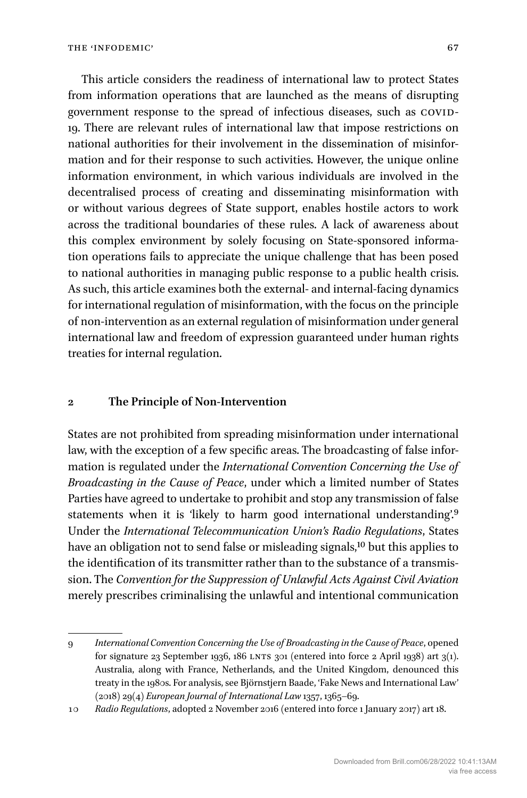This article considers the readiness of international law to protect States from information operations that are launched as the means of disrupting government response to the spread of infectious diseases, such as COVID-19. There are relevant rules of international law that impose restrictions on national authorities for their involvement in the dissemination of misinformation and for their response to such activities. However, the unique online information environment, in which various individuals are involved in the decentralised process of creating and disseminating misinformation with or without various degrees of State support, enables hostile actors to work across the traditional boundaries of these rules. A lack of awareness about this complex environment by solely focusing on State-sponsored information operations fails to appreciate the unique challenge that has been posed to national authorities in managing public response to a public health crisis. As such, this article examines both the external- and internal-facing dynamics for international regulation of misinformation, with the focus on the principle of non-intervention as an external regulation of misinformation under general international law and freedom of expression guaranteed under human rights treaties for internal regulation.

#### **2 The Principle of Non-Intervention**

States are not prohibited from spreading misinformation under international law, with the exception of a few specific areas. The broadcasting of false information is regulated under the *International Convention Concerning the Use of Broadcasting in the Cause of Peace*, under which a limited number of States Parties have agreed to undertake to prohibit and stop any transmission of false statements when it is 'likely to harm good international understanding'.<sup>9</sup> Under the *International Telecommunication Union's Radio Regulations*, States have an obligation not to send false or misleading signals,<sup>10</sup> but this applies to the identification of its transmitter rather than to the substance of a transmission. The *Convention for the Suppression of Unlawful Acts Against Civil Aviation* merely prescribes criminalising the unlawful and intentional communication

<sup>9</sup> *International Convention Concerning the Use of Broadcasting in the Cause of Peace*, opened for signature 23 September 1936, 186 LNTS 301 (entered into force 2 April 1938) art 3(1). Australia, along with France, Netherlands, and the United Kingdom, denounced this treaty in the 1980s. For analysis, see Björnstjern Baade, 'Fake News and International Law' (2018) 29(4) *European Journal of International Law* 1357, 1365–69.

<sup>10</sup> *Radio Regulations*, adopted 2 November 2016 (entered into force 1 January 2017) art 18.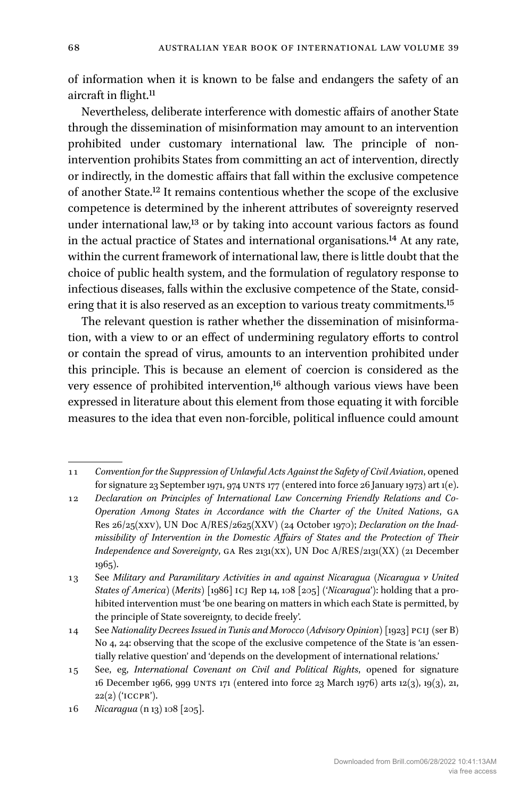of information when it is known to be false and endangers the safety of an aircraft in flight.<sup>11</sup>

Nevertheless, deliberate interference with domestic affairs of another State through the dissemination of misinformation may amount to an intervention prohibited under customary international law. The principle of nonintervention prohibits States from committing an act of intervention, directly or indirectly, in the domestic affairs that fall within the exclusive competence of another State.12 It remains contentious whether the scope of the exclusive competence is determined by the inherent attributes of sovereignty reserved under international law,<sup>13</sup> or by taking into account various factors as found in the actual practice of States and international organisations.14 At any rate, within the current framework of international law, there is little doubt that the choice of public health system, and the formulation of regulatory response to infectious diseases, falls within the exclusive competence of the State, considering that it is also reserved as an exception to various treaty commitments.<sup>15</sup>

The relevant question is rather whether the dissemination of misinformation, with a view to or an effect of undermining regulatory efforts to control or contain the spread of virus, amounts to an intervention prohibited under this principle. This is because an element of coercion is considered as the very essence of prohibited intervention,<sup>16</sup> although various views have been expressed in literature about this element from those equating it with forcible measures to the idea that even non-forcible, political influence could amount

16 *Nicaragua* (n 13) 108 [205].

<sup>11</sup> *Convention for the Suppression of Unlawful Acts Against the Safety of Civil Aviation*, opened for signature 23 September 1971, 974 UNTS 177 (entered into force 26 January 1973) art 1(e).

<sup>12</sup> *Declaration on Principles of International Law Concerning Friendly Relations and Co-Operation Among States in Accordance with the Charter of the United Nations*, GA Res 26/25(XXV), UN Doc A/RES/2625(XXV) (24 October 1970); *Declaration on the Inadmissibility of Intervention in the Domestic Affairs of States and the Protection of Their Independence and Sovereignty*, GA Res 2131(XX), UN Doc A/RES/2131(XX) (21 December 1965).

<sup>13</sup> See *Military and Paramilitary Activities in and against Nicaragua (Nicaragua v United States of America) (Merits)* [1986] ICJ Rep 14, 108 [205] ('*Nicaragua*'): holding that a prohibited intervention must 'be one bearing on matters in which each State is permitted, by the principle of State sovereignty, to decide freely'.

<sup>14</sup> See *Nationality Decrees Issued in Tunis and Morocco (Advisory Opinion)* [1923] PCIJ (ser B) No 4, 24: observing that the scope of the exclusive competence of the State is 'an essentially relative question' and 'depends on the development of international relations.'

<sup>15</sup> See, eg, *International Covenant on Civil and Political Rights*, opened for signature 16 December 1966, 999 UNTS 171 (entered into force 23 March 1976) arts 12(3), 19(3), 21,  $22(2)$  ('ICCPR').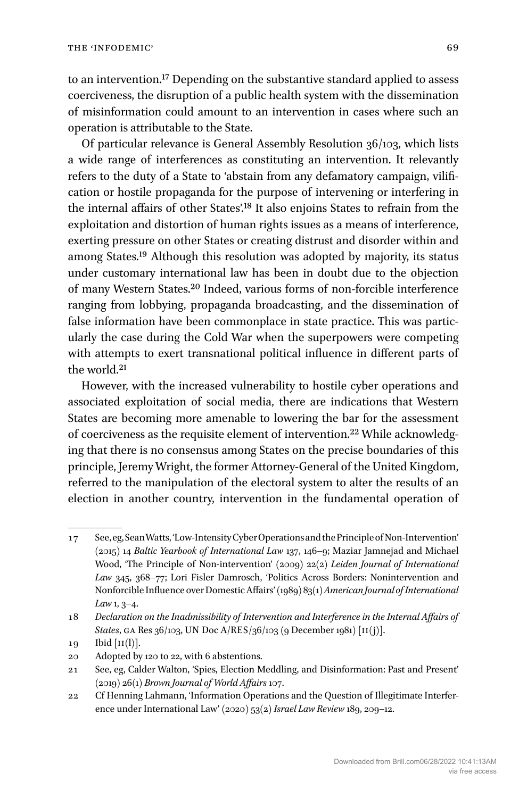to an intervention.17 Depending on the substantive standard applied to assess coerciveness, the disruption of a public health system with the dissemination of misinformation could amount to an intervention in cases where such an operation is attributable to the State.

Of particular relevance is General Assembly Resolution 36/103, which lists a wide range of interferences as constituting an intervention. It relevantly refers to the duty of a State to 'abstain from any defamatory campaign, vilification or hostile propaganda for the purpose of intervening or interfering in the internal affairs of other States'.18 It also enjoins States to refrain from the exploitation and distortion of human rights issues as a means of interference, exerting pressure on other States or creating distrust and disorder within and among States.19 Although this resolution was adopted by majority, its status under customary international law has been in doubt due to the objection of many Western States.20 Indeed, various forms of non-forcible interference ranging from lobbying, propaganda broadcasting, and the dissemination of false information have been commonplace in state practice. This was particularly the case during the Cold War when the superpowers were competing with attempts to exert transnational political influence in different parts of the world.21

However, with the increased vulnerability to hostile cyber operations and associated exploitation of social media, there are indications that Western States are becoming more amenable to lowering the bar for the assessment of coerciveness as the requisite element of intervention.22 While acknowledging that there is no consensus among States on the precise boundaries of this principle, Jeremy Wright, the former Attorney-General of the United Kingdom, referred to the manipulation of the electoral system to alter the results of an election in another country, intervention in the fundamental operation of

<sup>17</sup> See, eg, Sean Watts, 'Low-Intensity Cyber Operations and the Principle of Non-Intervention' (2015) 14 *Baltic Yearbook of International Law* 137, 146–9; Maziar Jamnejad and Michael Wood, 'The Principle of Non-intervention' (2009) 22(2) *Leiden Journal of International Law* 345, 368–77; Lori Fisler Damrosch, 'Politics Across Borders: Nonintervention and Nonforcible Influence over Domestic Affairs' (1989) 83(1) *American Journal of International Law* 1, 3–4.

<sup>18</sup> *Declaration on the Inadmissibility of Intervention and Interference in the Internal Affairs of States*, GA Res 36/103, UN Doc A/RES/36/103 (9 December 1981) [II(j)].

 $19$  Ibid  $[II(1)]$ .

<sup>20</sup> Adopted by 120 to 22, with 6 abstentions.

<sup>21</sup> See, eg, Calder Walton, 'Spies, Election Meddling, and Disinformation: Past and Present' (2019) 26(1) *Brown Journal of World Affairs* 107.

<sup>22</sup> Cf Henning Lahmann, 'Information Operations and the Question of Illegitimate Interference under International Law' (2020) 53(2) *Israel Law Review* 189, 209–12.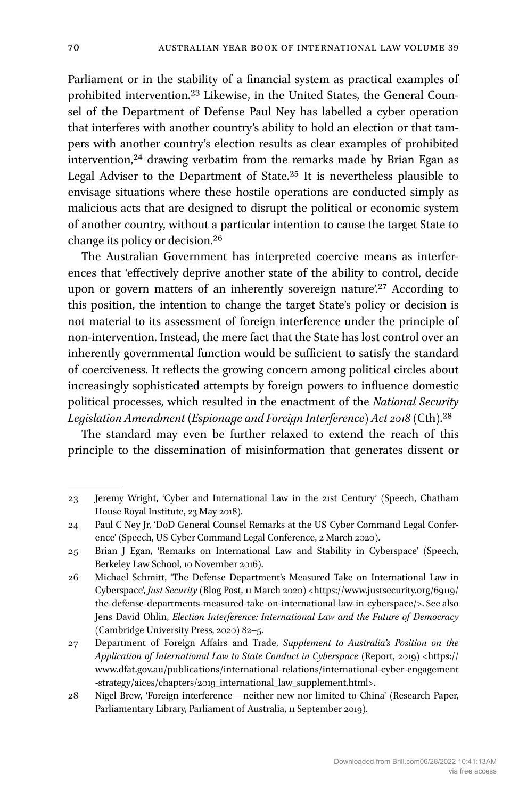Parliament or in the stability of a financial system as practical examples of prohibited intervention.23 Likewise, in the United States, the General Counsel of the Department of Defense Paul Ney has labelled a cyber operation that interferes with another country's ability to hold an election or that tampers with another country's election results as clear examples of prohibited intervention,<sup>24</sup> drawing verbatim from the remarks made by Brian Egan as Legal Adviser to the Department of State.25 It is nevertheless plausible to envisage situations where these hostile operations are conducted simply as malicious acts that are designed to disrupt the political or economic system of another country, without a particular intention to cause the target State to change its policy or decision.26

The Australian Government has interpreted coercive means as interferences that 'effectively deprive another state of the ability to control, decide upon or govern matters of an inherently sovereign nature'.<sup>27</sup> According to this position, the intention to change the target State's policy or decision is not material to its assessment of foreign interference under the principle of non-intervention. Instead, the mere fact that the State has lost control over an inherently governmental function would be sufficient to satisfy the standard of coerciveness. It reflects the growing concern among political circles about increasingly sophisticated attempts by foreign powers to influence domestic political processes, which resulted in the enactment of the *National Security Legislation Amendment (Espionage and Foreign Interference) Act 2018* (Cth).28

The standard may even be further relaxed to extend the reach of this principle to the dissemination of misinformation that generates dissent or

<sup>23</sup> Jeremy Wright, 'Cyber and International Law in the 21st Century' (Speech, Chatham House Royal Institute, 23 May 2018).

<sup>24</sup> Paul C Ney Jr, 'DoD General Counsel Remarks at the US Cyber Command Legal Conference' (Speech, US Cyber Command Legal Conference, 2 March 2020).

<sup>25</sup> Brian J Egan, 'Remarks on International Law and Stability in Cyberspace' (Speech, Berkeley Law School, 10 November 2016).

<sup>26</sup> Michael Schmitt, 'The Defense Department's Measured Take on International Law in Cyberspace', *Just Security* (Blog Post, 11 March 2020) <[https://www.justsecurity.org/69119/](https://www.justsecurity.org/69119/the-defense-departments-measured-take-on-international-law-in-cyberspace/) [the-defense-departments-measured-take-on-international-law-](https://www.justsecurity.org/69119/the-defense-departments-measured-take-on-international-law-in-cyberspace/)in-cyberspace/>. See also Jens David Ohlin, *Election Interference: International Law and the Future of Democracy* (Cambridge University Press, 2020) 82–5.

<sup>27</sup> Department of Foreign Affairs and Trade, *Supplement to Australia's Position on the Application of International Law to State Conduct in Cyberspace* (Report, 2019) [<https://](https://www.dfat.gov.au/publications/international-relations/international-cyber-engagement-strategy/aices/chapters/2019_international_law_supplement.html) [www.dfat.gov.au/publications/international-relations/international-cyber-engagement](https://www.dfat.gov.au/publications/international-relations/international-cyber-engagement-strategy/aices/chapters/2019_international_law_supplement.html) [-strategy/aices/chapters/2019\\_international\\_law\\_supplement.html](https://www.dfat.gov.au/publications/international-relations/international-cyber-engagement-strategy/aices/chapters/2019_international_law_supplement.html)>.

<sup>28</sup> Nigel Brew, 'Foreign interference—neither new nor limited to China' (Research Paper, Parliamentary Library, Parliament of Australia, 11 September 2019).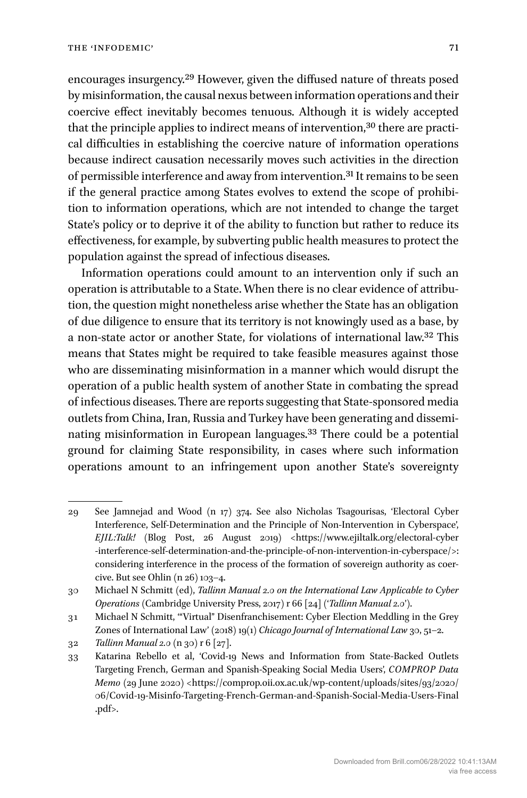encourages insurgency.29 However, given the diffused nature of threats posed by misinformation, the causal nexus between information operations and their coercive effect inevitably becomes tenuous. Although it is widely accepted that the principle applies to indirect means of intervention,<sup>30</sup> there are practical difficulties in establishing the coercive nature of information operations because indirect causation necessarily moves such activities in the direction of permissible interference and away from intervention.31 It remains to be seen if the general practice among States evolves to extend the scope of prohibition to information operations, which are not intended to change the target State's policy or to deprive it of the ability to function but rather to reduce its effectiveness, for example, by subverting public health measures to protect the population against the spread of infectious diseases.

Information operations could amount to an intervention only if such an operation is attributable to a State. When there is no clear evidence of attribution, the question might nonetheless arise whether the State has an obligation of due diligence to ensure that its territory is not knowingly used as a base, by a non-state actor or another State, for violations of international law.32 This means that States might be required to take feasible measures against those who are disseminating misinformation in a manner which would disrupt the operation of a public health system of another State in combating the spread of infectious diseases. There are reports suggesting that State-sponsored media outlets from China, Iran, Russia and Turkey have been generating and disseminating misinformation in European languages.33 There could be a potential ground for claiming State responsibility, in cases where such information operations amount to an infringement upon another State's sovereignty

<sup>29</sup> See Jamnejad and Wood (n 17) 374. See also Nicholas Tsagourisas, 'Electoral Cyber Interference, Self-Determination and the Principle of Non-Intervention in Cyberspace', *EJIL:Talk!* (Blog Post, 26 August 2019) <[https://www.ejiltalk.org/electoral-cyber](https://www.ejiltalk.org/electoral-cyber-interference-self-determination-and-the-principle-of-non-intervention-in-cyberspace/)  [-interference-self-determination-and-the-principle-of-non-intervention-](https://www.ejiltalk.org/electoral-cyber-interference-self-determination-and-the-principle-of-non-intervention-in-cyberspace/)in-cyberspace/>: considering interference in the process of the formation of sovereign authority as coercive. But see Ohlin (n 26) 103–4.

<sup>30</sup> Michael N Schmitt (ed), *Tallinn Manual 2.0 on the International Law Applicable to Cyber Operations* (Cambridge University Press, 2017) r 66 [24] ('*Tallinn Manual 2.0*').

<sup>31</sup> Michael N Schmitt, '"Virtual" Disenfranchisement: Cyber Election Meddling in the Grey Zones of International Law' (2018) 19(1) *Chicago Journal of International Law* 30, 51–2.

<sup>32</sup> *Tallinn Manual 2.0* (n 30) r 6 [27].

<sup>33</sup> Katarina Rebello et al, 'Covid-19 News and Information from State-Backed Outlets Targeting French, German and Spanish-Speaking Social Media Users', *COMPROP Data Memo* (29 June 2020) <https://comprop.oii.ox.ac.uk/wp-content/uploads/sites/93/2020/ [06/Covid-19-Misinfo-Targeting-French-German-and-Spanish-Social-Media-Users-Final](https://comprop.oii.ox.ac.uk/wp-content/uploads/sites/93/2020/06/Covid-19-Misinfo-Targeting-French-German-and-Spanish-Social-Media-Users-Final.pdf) [.pdf>](https://comprop.oii.ox.ac.uk/wp-content/uploads/sites/93/2020/06/Covid-19-Misinfo-Targeting-French-German-and-Spanish-Social-Media-Users-Final.pdf).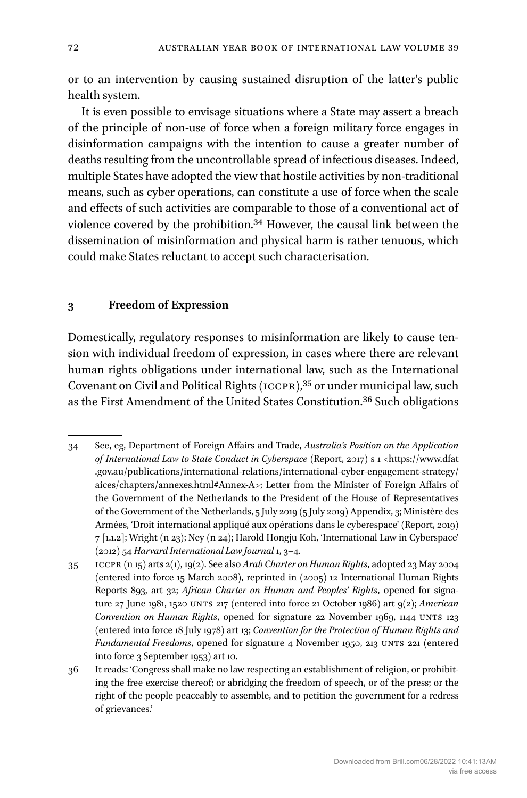or to an intervention by causing sustained disruption of the latter's public health system.

It is even possible to envisage situations where a State may assert a breach of the principle of non-use of force when a foreign military force engages in disinformation campaigns with the intention to cause a greater number of deaths resulting from the uncontrollable spread of infectious diseases. Indeed, multiple States have adopted the view that hostile activities by non-traditional means, such as cyber operations, can constitute a use of force when the scale and effects of such activities are comparable to those of a conventional act of violence covered by the prohibition.34 However, the causal link between the dissemination of misinformation and physical harm is rather tenuous, which could make States reluctant to accept such characterisation.

### **3 Freedom of Expression**

Domestically, regulatory responses to misinformation are likely to cause tension with individual freedom of expression, in cases where there are relevant human rights obligations under international law, such as the International Covenant on Civil and Political Rights (ICCPR),35 or under municipal law, such as the First Amendment of the United States Constitution.36 Such obligations

<sup>34</sup> See, eg, Department of Foreign Affairs and Trade, *Australia's Position on the Application of International Law to State Conduct in Cyberspace* (Report, 2017) s 1 [<https://www.dfat](https://www.dfat.gov.au/publications/international-relations/international-cyber-engagement-strategy/aices/chapters/annexes.html#Annex-A)  [.gov.au/publications/international-relations/international-cyber-engagement-strategy/](https://www.dfat.gov.au/publications/international-relations/international-cyber-engagement-strategy/aices/chapters/annexes.html#Annex-A) [aices/chapters/annexes.html#Annex-A>](https://www.dfat.gov.au/publications/international-relations/international-cyber-engagement-strategy/aices/chapters/annexes.html#Annex-A); Letter from the Minister of Foreign Affairs of the Government of the Netherlands to the President of the House of Representatives of the Government of the Netherlands, 5 July 2019 (5 July 2019) Appendix, 3; Ministère des Armées, 'Droit international appliqué aux opérations dans le cyberespace' (Report, 2019) 7 [1.1.2]; Wright (n 23); Ney (n 24); Harold Hongju Koh, 'International Law in Cyberspace' (2012) 54 *Harvard International Law Journal* 1, 3–4.

<sup>35</sup> ICCPR (n 15) arts 2(1), 19(2). See also *Arab Charter on Human Rights*, adopted 23 May 2004 (entered into force 15 March 2008), reprinted in (2005) 12 International Human Rights Reports 893, art 32; *African Charter on Human and Peoples' Rights*, opened for signature 27 June 1981, 1520 UNTS 217 (entered into force 21 October 1986) art 9(2); *American Convention on Human Rights*, opened for signature 22 November 1969, 1144 UNTS 123 (entered into force 18 July 1978) art 13; *Convention for the Protection of Human Rights and Fundamental Freedoms*, opened for signature 4 November 1950, 213 UNTS 221 (entered into force 3 September 1953) art 10.

<sup>36</sup> It reads: 'Congress shall make no law respecting an establishment of religion, or prohibiting the free exercise thereof; or abridging the freedom of speech, or of the press; or the right of the people peaceably to assemble, and to petition the government for a redress of grievances.'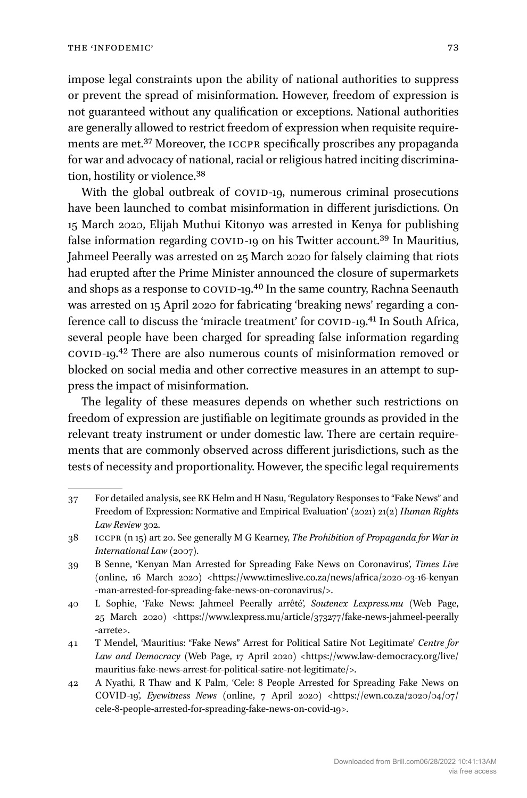impose legal constraints upon the ability of national authorities to suppress or prevent the spread of misinformation. However, freedom of expression is not guaranteed without any qualification or exceptions. National authorities are generally allowed to restrict freedom of expression when requisite requirements are met.37 Moreover, the ICCPR specifically proscribes any propaganda for war and advocacy of national, racial or religious hatred inciting discrimination, hostility or violence.38

With the global outbreak of COVID-19, numerous criminal prosecutions have been launched to combat misinformation in different jurisdictions. On 15 March 2020, Elijah Muthui Kitonyo was arrested in Kenya for publishing false information regarding COVID-19 on his Twitter account.<sup>39</sup> In Mauritius, Jahmeel Peerally was arrested on 25 March 2020 for falsely claiming that riots had erupted after the Prime Minister announced the closure of supermarkets and shops as a response to COVID-19.40 In the same country, Rachna Seenauth was arrested on 15 April 2020 for fabricating 'breaking news' regarding a conference call to discuss the 'miracle treatment' for COVID-19.41 In South Africa, several people have been charged for spreading false information regarding COVID-19.42 There are also numerous counts of misinformation removed or blocked on social media and other corrective measures in an attempt to suppress the impact of misinformation.

The legality of these measures depends on whether such restrictions on freedom of expression are justifiable on legitimate grounds as provided in the relevant treaty instrument or under domestic law. There are certain requirements that are commonly observed across different jurisdictions, such as the tests of necessity and proportionality. However, the specific legal requirements

<sup>37</sup> For detailed analysis, see RK Helm and H Nasu, 'Regulatory Responses to "Fake News" and Freedom of Expression: Normative and Empirical Evaluation' (2021) 21(2) *Human Rights*  Law Review 302.

<sup>38</sup> ICCPR (n 15) art 20. See generally M G Kearney, *The Prohibition of Propaganda for War in International Law* (2007).

<sup>39</sup> B Senne, 'Kenyan Man Arrested for Spreading Fake News on Coronavirus', *Times Live* (online, 16 March 2020) <https://www.timeslive.co.za/news/africa/2020-03-16-kenyan [-man-arrested-for-spreading-fake-news-on-coronavirus/>](https://www.timeslive.co.za/news/africa/2020-03-16-kenyan-man-arrested-for-spreading-fake-news-on-coronavirus/).

<sup>40</sup> L Sophie, 'Fake News: Jahmeel Peerally arrêté', *Soutenex Lexpress.mu* (Web Page, 25 March 2020) [<https://www.lexpress.mu/article/373277/fake-news-jahmeel-peerally](https://www.lexpress.mu/article/373277/fake-news-jahmeel-peerally-arrete)  [-arrete](https://www.lexpress.mu/article/373277/fake-news-jahmeel-peerally-arrete)>.

<sup>41</sup> T Mendel, 'Mauritius: "Fake News" Arrest for Political Satire Not Legitimate' *Centre for Law and Democracy* (Web Page, 17 April 2020) [<https://www.law-democracy.org/live/](https://www.law-democracy.org/live/mauritius-fake-news-arrest-for-political-satire-not-legitimate/) [mauritius-fake-news-arrest-for-political-satire-not-legitimate/](https://www.law-democracy.org/live/mauritius-fake-news-arrest-for-political-satire-not-legitimate/)>.

<sup>42</sup> A Nyathi, R Thaw and K Palm, 'Cele: 8 People Arrested for Spreading Fake News on COVID-19', *Eyewitness News* (online, 7 April 2020) <[https://ewn.co.za/2020/04/07/](https://ewn.co.za/2020/04/07/cele-8-people-arrested-for-spreading-fake-news-on-covid-19) [cele-8-people-arrested-for-spreading-fake-news-on-covid-19](https://ewn.co.za/2020/04/07/cele-8-people-arrested-for-spreading-fake-news-on-covid-19)>.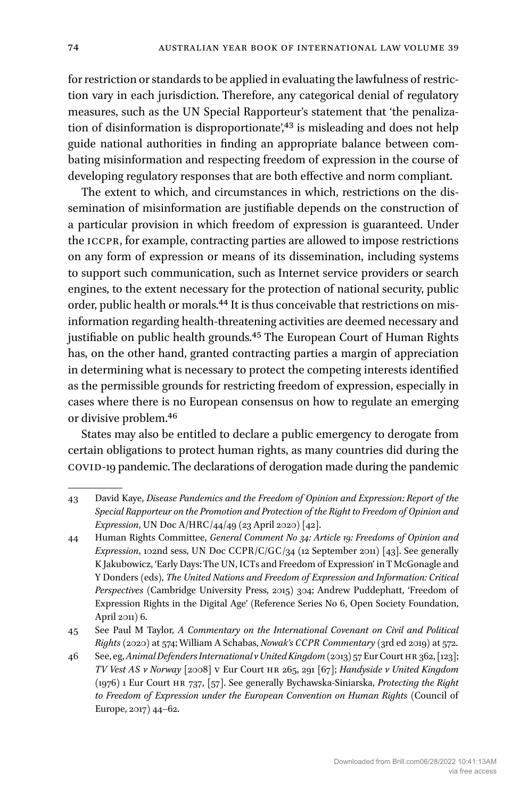for restriction or standards to be applied in evaluating the lawfulness of restriction vary in each jurisdiction. Therefore, any categorical denial of regulatory measures, such as the UN Special Rapporteur's statement that 'the penalization of disinformation is disproportionate',<sup>43</sup> is misleading and does not help guide national authorities in finding an appropriate balance between combating misinformation and respecting freedom of expression in the course of developing regulatory responses that are both effective and norm compliant.

The extent to which, and circumstances in which, restrictions on the dissemination of misinformation are justifiable depends on the construction of a particular provision in which freedom of expression is guaranteed. Under the ICCPR, for example, contracting parties are allowed to impose restrictions on any form of expression or means of its dissemination, including systems to support such communication, such as Internet service providers or search engines, to the extent necessary for the protection of national security, public order, public health or morals.44 It is thus conceivable that restrictions on misinformation regarding health-threatening activities are deemed necessary and justifiable on public health grounds.<sup>45</sup> The European Court of Human Rights has, on the other hand, granted contracting parties a margin of appreciation in determining what is necessary to protect the competing interests identified as the permissible grounds for restricting freedom of expression, especially in cases where there is no European consensus on how to regulate an emerging or divisive problem.46

States may also be entitled to declare a public emergency to derogate from certain obligations to protect human rights, as many countries did during the COVID-19 pandemic. The declarations of derogation made during the pandemic

<sup>43</sup> David Kaye, *Disease Pandemics and the Freedom of Opinion and Expression: Report of the Special Rapporteur on the Promotion and Protection of the Right to Freedom of Opinion and Expression*, UN Doc A/HRC/44/49 (23 April 2020) [42].

<sup>44</sup> Human Rights Committee, *General Comment No 34: Article 19: Freedoms of Opinion and Expression*, 102nd sess, UN Doc CCPR/C/GC/34 (12 September 2011) [43]. See generally K Jakubowicz, 'Early Days: The UN, ICTs and Freedom of Expression' in T McGonagle and Y Donders (eds), *The United Nations and Freedom of Expression and Information: Critical Perspectives* (Cambridge University Press, 2015) 304; Andrew Puddephatt, 'Freedom of Expression Rights in the Digital Age' (Reference Series No 6, Open Society Foundation, April 2011) 6.

<sup>45</sup> See Paul M Taylor, *A Commentary on the International Covenant on Civil and Political Rights* (2020) at 574; William A Schabas, *Nowak's CCPR Commentary* (3rd ed 2019) at 572.

<sup>46</sup> See, eg, *Animal Defenders International v United Kingdom* (2013) 57 Eur Court HR 362, [123]; *TV Vest AS v Norway* [2008] V Eur Court HR 265, 291 [67]; *Handyside v United Kingdom* (1976) 1 Eur Court HR 737, [57]. See generally Bychawska-Siniarska, *Protecting the Right to Freedom of Expression under the European Convention on Human Rights* (Council of Europe, 2017) 44–62.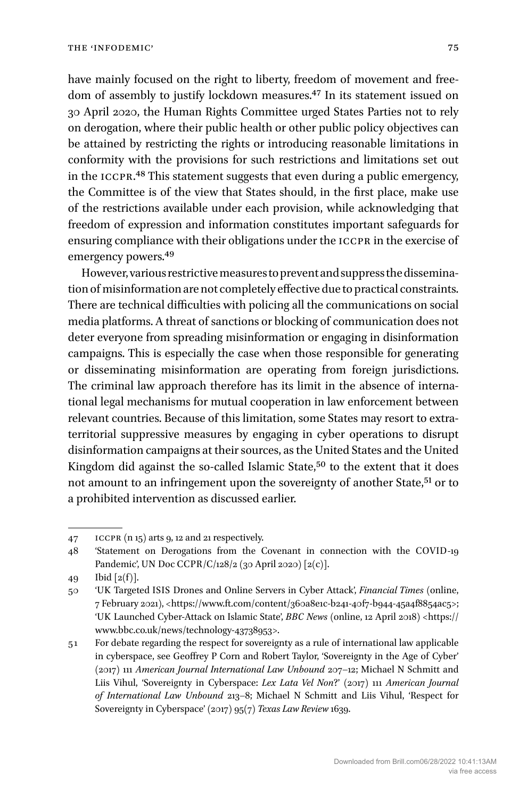have mainly focused on the right to liberty, freedom of movement and freedom of assembly to justify lockdown measures.47 In its statement issued on 30 April 2020, the Human Rights Committee urged States Parties not to rely on derogation, where their public health or other public policy objectives can be attained by restricting the rights or introducing reasonable limitations in conformity with the provisions for such restrictions and limitations set out in the ICCPR.48 This statement suggests that even during a public emergency, the Committee is of the view that States should, in the first place, make use of the restrictions available under each provision, while acknowledging that freedom of expression and information constitutes important safeguards for ensuring compliance with their obligations under the ICCPR in the exercise of emergency powers.49

However, various restrictive measures to prevent and suppress the dissemination of misinformation are not completely effective due to practical constraints. There are technical difficulties with policing all the communications on social media platforms. A threat of sanctions or blocking of communication does not deter everyone from spreading misinformation or engaging in disinformation campaigns. This is especially the case when those responsible for generating or disseminating misinformation are operating from foreign jurisdictions. The criminal law approach therefore has its limit in the absence of international legal mechanisms for mutual cooperation in law enforcement between relevant countries. Because of this limitation, some States may resort to extraterritorial suppressive measures by engaging in cyber operations to disrupt disinformation campaigns at their sources, as the United States and the United Kingdom did against the so-called Islamic State,<sup>50</sup> to the extent that it does not amount to an infringement upon the sovereignty of another State,<sup>51</sup> or to a prohibited intervention as discussed earlier.

<sup>47</sup> ICCPR (n 15) arts 9, 12 and 21 respectively.

<sup>48</sup> 'Statement on Derogations from the Covenant in connection with the COVID-19 Pandemic', UN Doc CCPR/C/128/2 (30 April 2020) [2(c)].

<sup>49</sup> Ibid  $[2(f)]$ .

<sup>50</sup> 'UK Targeted ISIS Drones and Online Servers in Cyber Attack', *Financial Times* (online, 7 February 2021), <<https://www.ft.com/content/360a8e1c-b241-40f7-b944-45a4f8854ac5>>; 'UK Launched Cyber-Attack on Islamic State', *BBC News* (online, 12 April 2018) [<https://](https://www.bbc.co.uk/news/technology-43738953) [www.bbc.co.uk/news/technology-43738953](https://www.bbc.co.uk/news/technology-43738953)>.

<sup>51</sup> For debate regarding the respect for sovereignty as a rule of international law applicable in cyberspace, see Geoffrey P Corn and Robert Taylor, 'Sovereignty in the Age of Cyber' (2017) 111 *American Journal International Law Unbound* 207–12; Michael N Schmitt and Liis Vihul, 'Sovereignty in Cyberspace: *Lex Lata Vel Non*?' (2017) 111 *American Journal of International Law Unbound* 213–8; Michael N Schmitt and Liis Vihul, 'Respect for Sovereignty in Cyberspace' (2017) 95(7) *Texas Law Review* 1639.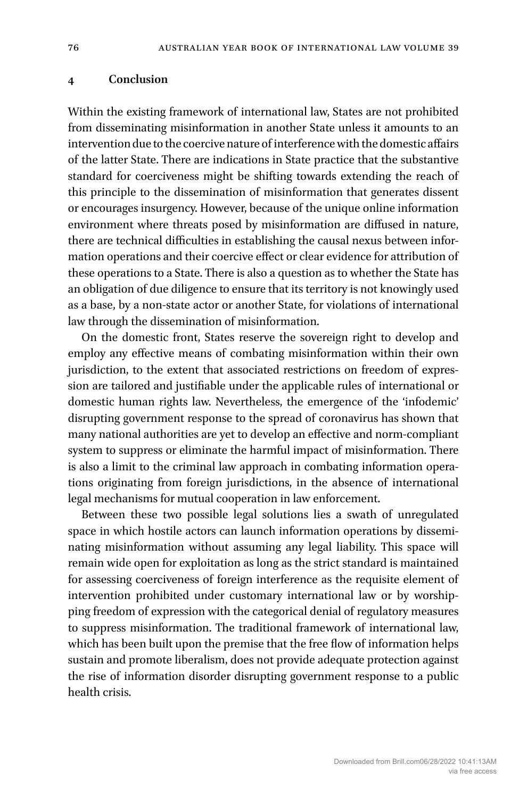#### **4 Conclusion**

Within the existing framework of international law, States are not prohibited from disseminating misinformation in another State unless it amounts to an intervention due to the coercive nature of interference with the domestic affairs of the latter State. There are indications in State practice that the substantive standard for coerciveness might be shifting towards extending the reach of this principle to the dissemination of misinformation that generates dissent or encourages insurgency. However, because of the unique online information environment where threats posed by misinformation are diffused in nature, there are technical difficulties in establishing the causal nexus between information operations and their coercive effect or clear evidence for attribution of these operations to a State. There is also a question as to whether the State has an obligation of due diligence to ensure that its territory is not knowingly used as a base, by a non-state actor or another State, for violations of international law through the dissemination of misinformation.

On the domestic front, States reserve the sovereign right to develop and employ any effective means of combating misinformation within their own jurisdiction, to the extent that associated restrictions on freedom of expression are tailored and justifiable under the applicable rules of international or domestic human rights law. Nevertheless, the emergence of the 'infodemic' disrupting government response to the spread of coronavirus has shown that many national authorities are yet to develop an effective and norm-compliant system to suppress or eliminate the harmful impact of misinformation. There is also a limit to the criminal law approach in combating information operations originating from foreign jurisdictions, in the absence of international legal mechanisms for mutual cooperation in law enforcement.

Between these two possible legal solutions lies a swath of unregulated space in which hostile actors can launch information operations by disseminating misinformation without assuming any legal liability. This space will remain wide open for exploitation as long as the strict standard is maintained for assessing coerciveness of foreign interference as the requisite element of intervention prohibited under customary international law or by worshipping freedom of expression with the categorical denial of regulatory measures to suppress misinformation. The traditional framework of international law, which has been built upon the premise that the free flow of information helps sustain and promote liberalism, does not provide adequate protection against the rise of information disorder disrupting government response to a public health crisis.